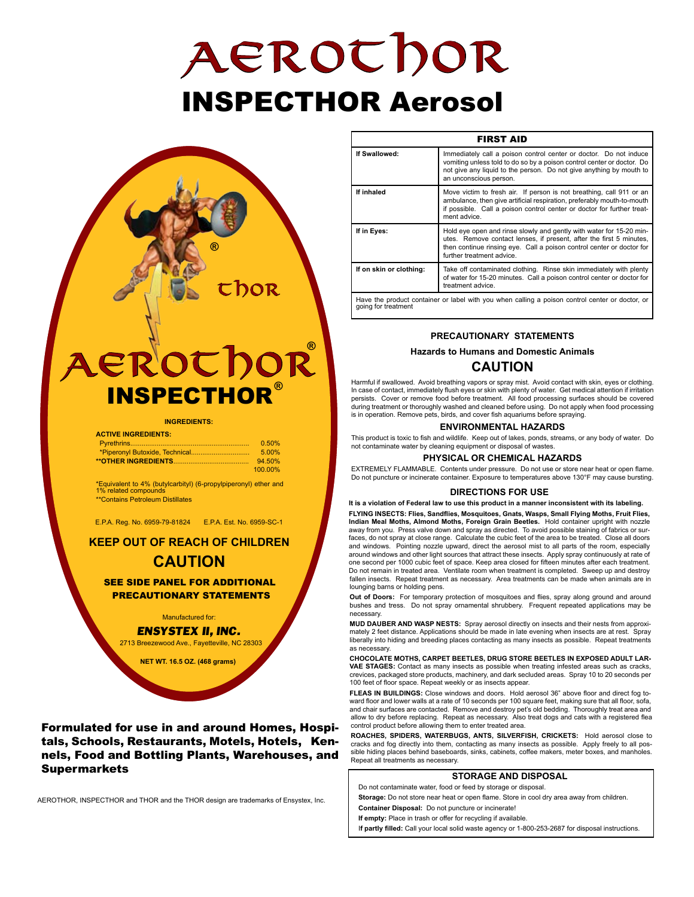# AEROthor INSPECTHOR Aerosol



#### **ACTIVE INGREDIENTS:** Pyrethrins............................................................... 0.50% \*Piperonyl Butoxide, Technical............................... 5.00% **\*\*OTHER INGREDIENTS**........................................ 94.50% 100.00%

\*Equivalent to 4% (butylcarbityl) (6-propylpiperonyl) ether and 1% related compounds \*\*Contains Petroleum Distillates

E.P.A. Reg. No. 6959-79-81824 E.P.A. Est. No. 6959-SC-1

**KEEP OUT OF REACH OF CHILDREN**

## **CAUTION**

SEE SIDE PANEL FOR ADDITIONAL PRECAUTIONARY STATEMENTS

Manufactured for: *ENSYSTEX II, INC.* 2713 Breezewood Ave., Fayetteville, NC 28303

**NET WT. 16.5 OZ. (468 grams)**

### Formulated for use in and around Homes, Hospitals, Schools, Restaurants, Motels, Hotels, Kennels, Food and Bottling Plants, Warehouses, and Supermarkets

AEROTHOR, INSPECTHOR and THOR and the THOR design are trademarks of Ensystex, Inc.

| <b>FIRST AID</b>        |                                                                                                                                                                                                                                                  |
|-------------------------|--------------------------------------------------------------------------------------------------------------------------------------------------------------------------------------------------------------------------------------------------|
| If Swallowed:           | Immediately call a poison control center or doctor. Do not induce<br>vomiting unless told to do so by a poison control center or doctor. Do<br>not give any liquid to the person. Do not give anything by mouth to<br>an unconscious person.     |
| If inhaled              | Move victim to fresh air. If person is not breathing, call 911 or an<br>ambulance, then give artificial respiration, preferably mouth-to-mouth<br>if possible. Call a poison control center or doctor for further treat-<br>ment advice.         |
| If in Eyes:             | Hold eye open and rinse slowly and gently with water for 15-20 min-<br>utes. Remove contact lenses, if present, after the first 5 minutes,<br>then continue rinsing eye. Call a poison control center or doctor for<br>further treatment advice. |
| If on skin or clothing: | Take off contaminated clothing. Rinse skin immediately with plenty<br>of water for 15-20 minutes. Call a poison control center or doctor for<br>treatment advice.                                                                                |
|                         | Have the product container or label with you when calling a poison control center or doctor, or                                                                                                                                                  |

Have the product container or label with you when calling a poison control center or doctor, or going for treatment

#### **PRECAUTIONARY STATEMENTS**

#### **Hazards to Humans and Domestic Animals**

## **CAUTION**

Harmful if swallowed. Avoid breathing vapors or spray mist. Avoid contact with skin, eyes or clothing. In case of contact, immediately flush eyes or skin with plenty of water. Get medical attention if irritation persists. Cover or remove food before treatment. All food processing surfaces should be covered during treatment or thoroughly washed and cleaned before using. Do not apply when food processing is in operation. Remove pets, birds, and cover fish aquariums before spraying.

#### **ENVIRONMENTAL HAZARDS**

This product is toxic to fish and wildlife. Keep out of lakes, ponds, streams, or any body of water. Do not contaminate water by cleaning equipment or disposal of wastes.

#### **PHYSICAL OR CHEMICAL HAZARDS**

EXTREMELY FLAMMABLE. Contents under pressure. Do not use or store near heat or open flame. Do not puncture or incinerate container. Exposure to temperatures above 130°F may cause bursting.

#### **DIRECTIONS FOR USE**

**It is a violation of Federal law to use this product in a manner inconsistent with its labeling. FLYING INSECTS: Flies, Sandflies, Mosquitoes, Gnats, Wasps, Small Flying Moths, Fruit Flies, Indian Meal Moths, Almond Moths, Foreign Grain Beetles.** Hold container upright with nozzle<br>away from you. Press valve down and spray as directed. To avoid possible staining of fabrics or surfaces, do not spray at close range. Calculate the cubic feet of the area to be treated. Close all doors and windows. Pointing nozzle upward, direct the aerosol mist to all parts of the room, especially around windows and other light sources that attract these insects. Apply spray continuously at rate of one second per 1000 cubic feet of space. Keep area closed for fifteen minutes after each treatment. Do not remain in treated area. Ventilate room when treatment is completed. Sweep up and destroy fallen insects. Repeat treatment as necessary. Area treatments can be made when animals are in lounging barns or holding pens.

**Out of Doors:** For temporary protection of mosquitoes and flies, spray along ground and around bushes and tress. Do not spray ornamental shrubbery. Frequent repeated applications may be necessary.

**MUD DAUBER AND WASP NESTS:** Spray aerosol directly on insects and their nests from approximately 2 feet distance. Applications should be made in late evening when insects are at rest. Spray liberally into hiding and breeding places contacting as many insects as possible. Repeat treatments as necessary.

**CHOCOLATE MOTHS, CARPET BEETLES, DRUG STORE BEETLES IN EXPOSED ADULT LAR-VAE STAGES:** Contact as many insects as possible when treating infested areas such as cracks, crevices, packaged store products, machinery, and dark secluded areas. Spray 10 to 20 seconds per 100 feet of floor space. Repeat weekly or as insects appear.

**FLEAS IN BUILDINGS:** Close windows and doors. Hold aerosol 36" above floor and direct fog toward floor and lower walls at a rate of 10 seconds per 100 square feet, making sure that all floor, sofa, and chair surfaces are contacted. Remove and destroy pet's old bedding. Thoroughly treat area and allow to dry before replacing. Repeat as necessary. Also treat dogs and cats with a registered flea control product before allowing them to enter treated area.

**ROACHES, SPIDERS, WATERBUGS, ANTS, SILVERFISH, CRICKETS:** Hold aerosol close to cracks and fog directly into them, contacting as many insects as possible. Apply freely to all possible hiding places behind baseboards, sinks, cabinets, coffee makers, meter boxes, and manholes. Repeat all treatments as necessary.

#### **STORAGE AND DISPOSAL**

Do not contaminate water, food or feed by storage or disposal. **Storage:** Do not store near heat or open flame. Store in cool dry area away from children.

**Container Disposal:** Do not puncture or incinerate!

**If empty:** Place in trash or offer for recycling if available.

I**f partly filled:** Call your local solid waste agency or 1-800-253-2687 for disposal instructions.